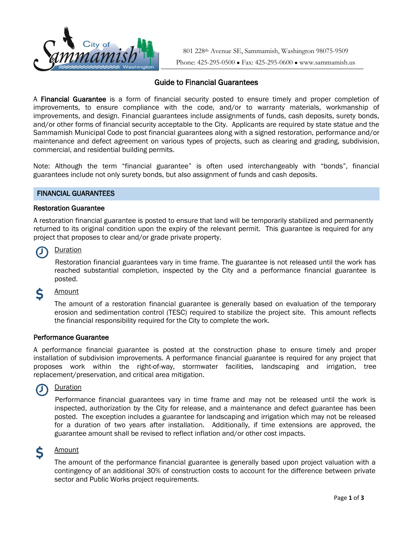

801 228th Avenue SE, Sammamish, Washington 98075-9509 Phone: 425-295-0500 ● Fax: 425-295-0600 ● www.sammamish.us

# Guide to Financial Guarantees

A **Financial Guarantee** is a form of financial security posted to ensure timely and proper completion of improvements, to ensure compliance with the code, and/or to warranty materials, workmanship of improvements, and design. Financial guarantees include assignments of funds, cash deposits, surety bonds, and/or other forms of financial security acceptable to the City. Applicants are required by state statue and the Sammamish Municipal Code to post financial guarantees along with a signed restoration, performance and/or maintenance and defect agreement on various types of projects, such as clearing and grading, subdivision, commercial, and residential building permits.

Note: Although the term "financial guarantee" is often used interchangeably with "bonds", financial guarantees include not only surety bonds, but also assignment of funds and cash deposits.

## FINANCIAL GUARANTEES

## Restoration Guarantee

A restoration financial guarantee is posted to ensure that land will be temporarily stabilized and permanently returned to its original condition upon the expiry of the relevant permit. This guarantee is required for any project that proposes to clear and/or grade private property.

## **Duration**

Restoration financial guarantees vary in time frame. The guarantee is not released until the work has reached substantial completion, inspected by the City and a performance financial guarantee is posted.

#### Amount \$

The amount of a restoration financial guarantee is generally based on evaluation of the temporary erosion and sedimentation control (TESC) required to stabilize the project site. This amount reflects the financial responsibility required for the City to complete the work.

## Performance Guarantee

A performance financial guarantee is posted at the construction phase to ensure timely and proper installation of subdivision improvements. A performance financial guarantee is required for any project that proposes work within the right-of-way, stormwater facilities, landscaping and irrigation, tree replacement/preservation, and critical area mitigation.

#### **Duration**  $\mathbf{U}$

Performance financial guarantees vary in time frame and may not be released until the work is inspected, authorization by the City for release, and a maintenance and defect guarantee has been posted. The exception includes a guarantee for landscaping and irrigation which may not be released for a duration of two years after installation. Additionally, if time extensions are approved, the guarantee amount shall be revised to reflect inflation and/or other cost impacts.

#### Ś **Amount**

The amount of the performance financial guarantee is generally based upon project valuation with a contingency of an additional 30% of construction costs to account for the difference between private sector and Public Works project requirements.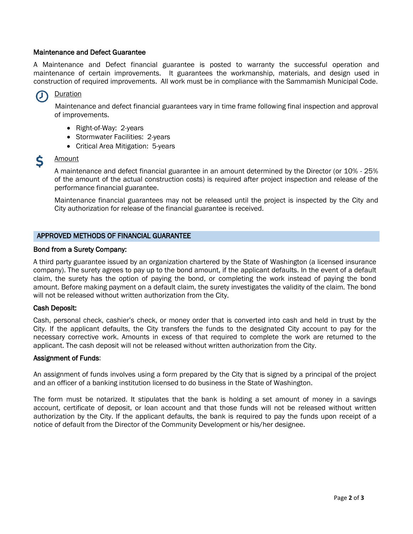## Maintenance and Defect Guarantee

A Maintenance and Defect financial guarantee is posted to warranty the successful operation and maintenance of certain improvements. It guarantees the workmanship, materials, and design used in construction of required improvements. All work must be in compliance with the Sammamish Municipal Code.

## **Duration**

Maintenance and defect financial guarantees vary in time frame following final inspection and approval of improvements.

- Right-of-Way: 2-years
- Stormwater Facilities: 2-years
- Critical Area Mitigation: 5-years

#### Ś Amount

A maintenance and defect financial guarantee in an amount determined by the Director (or 10% - 25% of the amount of the actual construction costs) is required after project inspection and release of the performance financial guarantee.

Maintenance financial guarantees may not be released until the project is inspected by the City and City authorization for release of the financial guarantee is received.

## APPROVED METHODS OF FINANCIAL GUARANTEE

## Bond from a Surety Company:

A third party guarantee issued by an organization chartered by the State of Washington (a licensed insurance company). The surety agrees to pay up to the bond amount, if the applicant defaults. In the event of a default claim, the surety has the option of paying the bond, or completing the work instead of paying the bond amount. Before making payment on a default claim, the surety investigates the validity of the claim. The bond will not be released without written authorization from the City.

## Cash Deposit:

Cash, personal check, cashier's check, or money order that is converted into cash and held in trust by the City. If the applicant defaults, the City transfers the funds to the designated City account to pay for the necessary corrective work. Amounts in excess of that required to complete the work are returned to the applicant. The cash deposit will not be released without written authorization from the City.

## Assignment of Funds:

An assignment of funds involves using a form prepared by the City that is signed by a principal of the project and an officer of a banking institution licensed to do business in the State of Washington.

The form must be notarized. It stipulates that the bank is holding a set amount of money in a savings account, certificate of deposit, or loan account and that those funds will not be released without written authorization by the City. If the applicant defaults, the bank is required to pay the funds upon receipt of a notice of default from the Director of the Community Development or his/her designee.